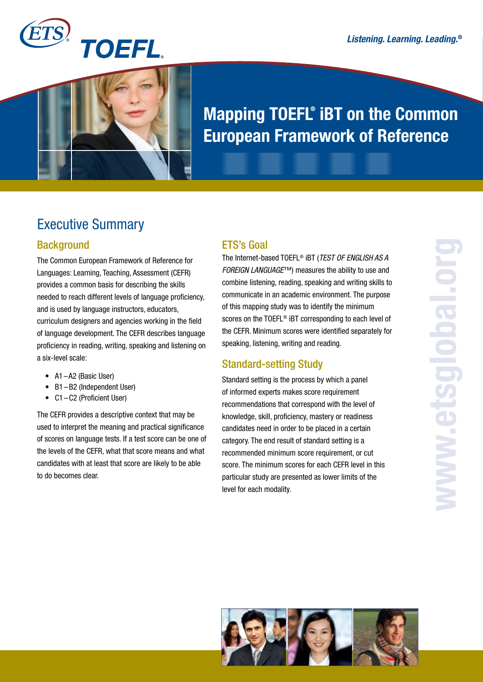

# Mapping TOEFL® iBT on the Common European Framework of Reference

## Executive Summary

### **Background**

The Common European Framework of Reference for Languages: Learning, Teaching, Assessment (CEFR) provides a common basis for describing the skills needed to reach different levels of language proficiency, and is used by language instructors, educators, curriculum designers and agencies working in the field of language development. The CEFR describes language proficiency in reading, writing, speaking and listening on a six-level scale:

- A1-A2 (Basic User)
- B1-B2 (Independent User)
- C1-C2 (Proficient User)

The CEFR provides a descriptive context that may be used to interpret the meaning and practical significance of scores on language tests. If a test score can be one of the levels of the CEFR, what that score means and what candidates with at least that score are likely to be able to do becomes clear.

#### ETS's Goal

The Internet-based TOEFL® iBT (*TEST OF ENGLISH AS A FOREIGN LANGUAGE*™) measures the ability to use and combine listening, reading, speaking and writing skills to communicate in an academic environment. The purpose of this mapping study was to identify the minimum scores on the TOEFL® iBT corresponding to each level of the CEFR. Minimum scores were identified separately for speaking, listening, writing and reading.

### Standard-setting Study

Standard setting is the process by which a panel of informed experts makes score requirement recommendations that correspond with the level of knowledge, skill, proficiency, mastery or readiness candidates need in order to be placed in a certain category. The end result of standard setting is a recommended minimum score requirement, or cut score. The minimum scores for each CEFR level in this particular study are presented as lower limits of the level for each modality.